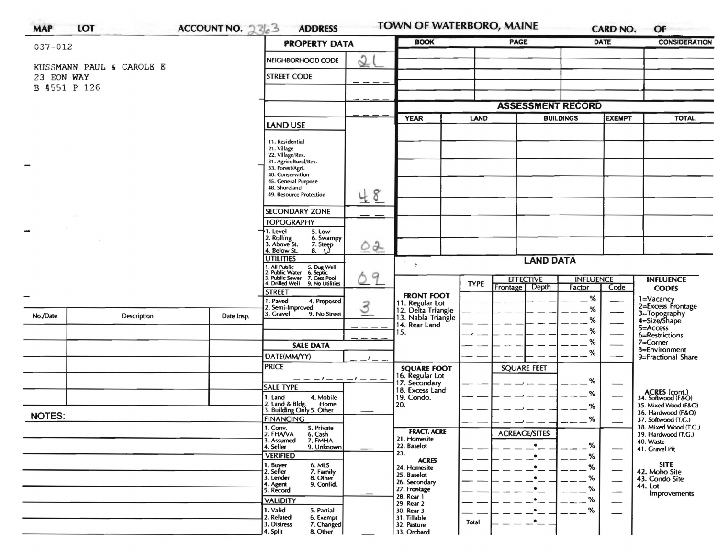| <b>MAP</b>    | LOT                      | ACCOUNT NO. $2363$                       | <b>ADDRESS</b>                                                                                                                             |                                 | <b>TOWN OF WATERBORO, MAINE</b>                                                     |                          |                                      |                                           | <b>CARD NO.</b>               | OF                                                          |  |
|---------------|--------------------------|------------------------------------------|--------------------------------------------------------------------------------------------------------------------------------------------|---------------------------------|-------------------------------------------------------------------------------------|--------------------------|--------------------------------------|-------------------------------------------|-------------------------------|-------------------------------------------------------------|--|
| 037-012       |                          |                                          | <b>PROPERTY DATA</b>                                                                                                                       |                                 | <b>BOOK</b>                                                                         |                          | <b>PAGE</b>                          |                                           | <b>DATE</b>                   | <b>CONSIDERATION</b>                                        |  |
|               |                          |                                          | NEIGHBORHOOD CODE                                                                                                                          | $\mathcal{Q}$                   |                                                                                     |                          |                                      |                                           |                               |                                                             |  |
| 23 EON WAY    | KUSSMANN PAUL & CAROLE E |                                          | <b>STREET CODE</b>                                                                                                                         |                                 |                                                                                     |                          |                                      |                                           |                               |                                                             |  |
| B 4551 P 126  |                          |                                          |                                                                                                                                            |                                 |                                                                                     |                          |                                      |                                           |                               |                                                             |  |
|               |                          |                                          |                                                                                                                                            |                                 |                                                                                     | <b>ASSESSMENT RECORD</b> |                                      |                                           |                               |                                                             |  |
|               |                          |                                          |                                                                                                                                            |                                 | <b>YEAR</b>                                                                         | LAND                     |                                      | <b>BUILDINGS</b>                          | EXEMPT                        | <b>TOTAL</b>                                                |  |
|               |                          |                                          | <b>LAND USE</b>                                                                                                                            |                                 |                                                                                     |                          |                                      |                                           |                               |                                                             |  |
|               |                          |                                          | 11. Residential<br>21. Village<br>22. Village/Res.<br>31. Agricultural/Res.<br>33. Forest/Agri.<br>40. Conservation<br>45. General Purpose |                                 |                                                                                     |                          |                                      |                                           |                               |                                                             |  |
|               |                          |                                          |                                                                                                                                            |                                 |                                                                                     |                          |                                      |                                           |                               |                                                             |  |
|               |                          |                                          |                                                                                                                                            |                                 |                                                                                     |                          |                                      |                                           |                               |                                                             |  |
|               |                          | 48. Shoreland<br>49. Resource Protection |                                                                                                                                            |                                 |                                                                                     |                          |                                      |                                           |                               |                                                             |  |
|               |                          |                                          |                                                                                                                                            | 48                              |                                                                                     |                          |                                      |                                           |                               |                                                             |  |
|               |                          |                                          | <b>SECONDARY ZONE</b><br><b>TOPOGRAPHY</b>                                                                                                 | - -                             |                                                                                     |                          |                                      |                                           |                               |                                                             |  |
|               |                          |                                          | 1. Level<br>5. Low                                                                                                                         |                                 |                                                                                     |                          |                                      |                                           |                               |                                                             |  |
|               |                          |                                          | 2. Rolling<br>3. Above St.<br>6. Swampy<br>7. Steep<br>4. Below St.<br>$8. \cup$                                                           | 02                              |                                                                                     |                          |                                      |                                           |                               |                                                             |  |
|               |                          | <b>UTILITIES</b>                         |                                                                                                                                            | $\cdot$<br>$\ddot{\phantom{1}}$ | <b>LAND DATA</b>                                                                    |                          |                                      |                                           |                               |                                                             |  |
|               |                          |                                          | 1. All Public<br>2. Public Water<br>3. Public Sewer<br>4. Drilled Well<br>5. Dug Well<br>6. Septic<br>7. Cess Pool                         | a                               |                                                                                     |                          | <b>EFFECTIVE</b><br><b>INFLUENCE</b> |                                           |                               | <b>INFLUENCE</b>                                            |  |
|               |                          |                                          | 9. No Utilities<br><b>STREET</b>                                                                                                           |                                 |                                                                                     | <b>TYPE</b>              | Frontage Depth                       | Factor                                    | Code                          | <b>CODES</b>                                                |  |
|               |                          |                                          | 1. Paved<br>4. Proposed<br>2. Semi-Improved                                                                                                | 3                               | <b>FRONT FOOT</b><br>11. Regular Lot<br>12. Delta Triangle                          |                          |                                      | %                                         |                               | $1 = \frac{V}{Q}$<br>2=Excess Frontage                      |  |
| No./Date      | Description              | Date Insp.                               | 3. Gravel<br>9. No Street                                                                                                                  |                                 | 13. Nabla Triangle<br>14. Rear Land<br>15.<br><b>SQUARE FOOT</b><br>16. Regular Lot |                          |                                      | ℅<br>%                                    |                               | 3=Topography<br>4=Size/Shape                                |  |
|               |                          |                                          |                                                                                                                                            |                                 |                                                                                     |                          |                                      | ℅                                         |                               | $5 =$ Access<br>6=Restrictions                              |  |
|               |                          |                                          | <b>SALE DATA</b>                                                                                                                           |                                 |                                                                                     |                          |                                      | %                                         | $7 =$ Corner                  | 8=Environment                                               |  |
|               |                          |                                          | DATE(MM/YY)                                                                                                                                |                                 |                                                                                     |                          |                                      | %                                         |                               | 9=Fractional Share                                          |  |
|               |                          |                                          | <b>PRICE</b>                                                                                                                               |                                 |                                                                                     |                          | <b>SQUARE FEET</b>                   |                                           |                               |                                                             |  |
|               |                          |                                          | <b>SALE TYPE</b>                                                                                                                           |                                 | 17. Secondary<br>18. Excess Land                                                    |                          |                                      | %                                         |                               |                                                             |  |
|               |                          |                                          | 1. Land<br>4. Mobile<br>Home                                                                                                               |                                 | 19. Condo.<br>20.                                                                   |                          |                                      | %<br>%                                    |                               | ACRES (cont.)<br>34. Softwood (F&O)<br>35. Mixed Wood (F&O) |  |
| <b>NOTES:</b> |                          |                                          | 2. Land & Bldg. Home<br>3. Building Only 5. Other<br><b>FINANCING</b>                                                                      |                                 |                                                                                     | %                        |                                      | 36. Hardwood (F&O)<br>37. Softwood (T.G.) |                               |                                                             |  |
|               |                          |                                          | 1. Conv.<br>5. Private<br>2. FHAVA                                                                                                         |                                 | <b>FRACT. ACRE</b>                                                                  |                          | <b>ACREAGE/SITES</b>                 |                                           |                               | 38. Mixed Wood (T.G.)                                       |  |
|               |                          |                                          | 6. Cash<br>7. FMHA<br>3. Assumed<br>4. Seller<br>9. Unknown                                                                                |                                 | 21. Homesite<br>22. Baselot                                                         |                          | $\bullet$                            | %                                         |                               | 39. Hardwood (T.G.)<br>40. Waste                            |  |
|               |                          |                                          | <b>VERIFIED</b>                                                                                                                            |                                 | 23.<br><b>ACRES</b>                                                                 |                          | $\bullet$                            | %                                         |                               | 41. Gravel Pit                                              |  |
|               |                          |                                          | 1. Buyer<br>2. Seller<br>6. MLS<br>7. Family                                                                                               |                                 | 24. Homesite<br>25. Baselot                                                         |                          | $\bullet$                            | %                                         | $\overbrace{\hspace{15em}}$   | <b>SITE</b><br>42. Moho Site                                |  |
|               |                          |                                          | 8. Other<br>3. Lender<br>4. Agent<br>9. Confid.                                                                                            |                                 | 26. Secondary<br>27. Frontage                                                       |                          |                                      | ℅<br>℅                                    | $\overbrace{\phantom{aaaaa}}$ | 43. Condo Site<br>44. Lot                                   |  |
|               |                          |                                          | 5. Record<br><b>VALIDITY</b>                                                                                                               |                                 | 28. Rear 1                                                                          |                          |                                      | %                                         | —                             | <b>Improvements</b>                                         |  |
|               |                          |                                          | 1. Valid<br>5. Partial                                                                                                                     |                                 | 29. Rear 2<br>30. Rear 3                                                            |                          |                                      | ℅                                         |                               |                                                             |  |
|               |                          |                                          | 2. Related<br>6. Exempt<br>3. Distress<br>7. Changed                                                                                       |                                 | 31. Tillable<br>32. Pasture                                                         | Total                    |                                      |                                           |                               |                                                             |  |
|               |                          |                                          | 4. Split<br>8. Other                                                                                                                       |                                 | 33. Orchard                                                                         |                          |                                      |                                           |                               |                                                             |  |